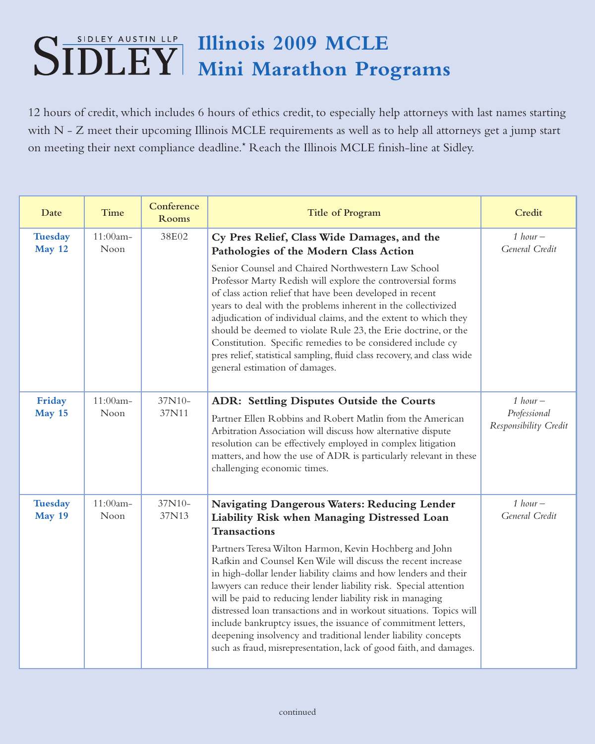## **Illinois 2009 MCLE Mini Marathon Programs**

12 hours of credit, which includes 6 hours of ethics credit, to especially help attorneys with last names starting with N - Z meet their upcoming Illinois MCLE requirements as well as to help all attorneys get a jump start on meeting their next compliance deadline.\* Reach the Illinois MCLE finish-line at Sidley.

| Date                            | Time                | Conference<br>Rooms | <b>Title of Program</b>                                                                                                                                                                                                                                                                                                                                                                                                                                                                                                                                                                                        | Credit                                              |
|---------------------------------|---------------------|---------------------|----------------------------------------------------------------------------------------------------------------------------------------------------------------------------------------------------------------------------------------------------------------------------------------------------------------------------------------------------------------------------------------------------------------------------------------------------------------------------------------------------------------------------------------------------------------------------------------------------------------|-----------------------------------------------------|
| <b>Tuesday</b><br>May 12        | 11:00am-<br>Noon    | 38E02               | Cy Pres Relief, Class Wide Damages, and the<br>Pathologies of the Modern Class Action                                                                                                                                                                                                                                                                                                                                                                                                                                                                                                                          | 1 hour $-$<br>General Credit                        |
|                                 |                     |                     | Senior Counsel and Chaired Northwestern Law School<br>Professor Marty Redish will explore the controversial forms<br>of class action relief that have been developed in recent<br>years to deal with the problems inherent in the collectivized<br>adjudication of individual claims, and the extent to which they<br>should be deemed to violate Rule 23, the Erie doctrine, or the<br>Constitution. Specific remedies to be considered include cy<br>pres relief, statistical sampling, fluid class recovery, and class wide<br>general estimation of damages.                                               |                                                     |
| Friday<br>May 15                | 11:00am-<br>Noon    | 37N10-<br>37N11     | ADR: Settling Disputes Outside the Courts<br>Partner Ellen Robbins and Robert Matlin from the American<br>Arbitration Association will discuss how alternative dispute<br>resolution can be effectively employed in complex litigation<br>matters, and how the use of ADR is particularly relevant in these<br>challenging economic times.                                                                                                                                                                                                                                                                     | $1 hour -$<br>Professional<br>Responsibility Credit |
| <b>Tuesday</b><br><b>May 19</b> | $11:00am -$<br>Noon | 37N10-<br>37N13     | Navigating Dangerous Waters: Reducing Lender<br>Liability Risk when Managing Distressed Loan<br><b>Transactions</b>                                                                                                                                                                                                                                                                                                                                                                                                                                                                                            | 1 hour $-$<br>General Credit                        |
|                                 |                     |                     | Partners Teresa Wilton Harmon, Kevin Hochberg and John<br>Rafkin and Counsel Ken Wile will discuss the recent increase<br>in high-dollar lender liability claims and how lenders and their<br>lawyers can reduce their lender liability risk. Special attention<br>will be paid to reducing lender liability risk in managing<br>distressed loan transactions and in workout situations. Topics will<br>include bankruptcy issues, the issuance of commitment letters,<br>deepening insolvency and traditional lender liability concepts<br>such as fraud, misrepresentation, lack of good faith, and damages. |                                                     |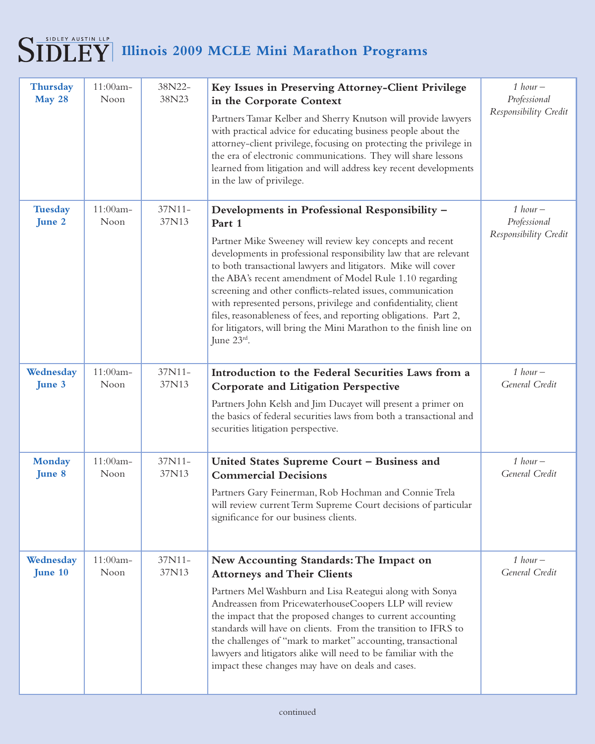## $\textbf{SIDLEY}\xspace^{\text{SIDLEY}\xspace\text{AUSTIN LLP}}$  Illinois 2009 MCLE Mini Marathon Programs

| Thursday<br>May 28       | 11:00am-<br>Noon | 38N22-<br>38N23 | Key Issues in Preserving Attorney-Client Privilege<br>in the Corporate Context<br>Partners Tamar Kelber and Sherry Knutson will provide lawyers<br>with practical advice for educating business people about the<br>attorney-client privilege, focusing on protecting the privilege in<br>the era of electronic communications. They will share lessons<br>learned from litigation and will address key recent developments<br>in the law of privilege.                                                                                                                                                         | $1 hour -$<br>Professional<br>Responsibility Credit |
|--------------------------|------------------|-----------------|-----------------------------------------------------------------------------------------------------------------------------------------------------------------------------------------------------------------------------------------------------------------------------------------------------------------------------------------------------------------------------------------------------------------------------------------------------------------------------------------------------------------------------------------------------------------------------------------------------------------|-----------------------------------------------------|
| <b>Tuesday</b><br>June 2 | 11:00am-<br>Noon | 37N11-<br>37N13 | Developments in Professional Responsibility -<br>Part 1<br>Partner Mike Sweeney will review key concepts and recent<br>developments in professional responsibility law that are relevant<br>to both transactional lawyers and litigators. Mike will cover<br>the ABA's recent amendment of Model Rule 1.10 regarding<br>screening and other conflicts-related issues, communication<br>with represented persons, privilege and confidentiality, client<br>files, reasonableness of fees, and reporting obligations. Part 2,<br>for litigators, will bring the Mini Marathon to the finish line on<br>June 23rd. | $1 hour -$<br>Professional<br>Responsibility Credit |
| Wednesday<br>June 3      | 11:00am-<br>Noon | 37N11-<br>37N13 | Introduction to the Federal Securities Laws from a<br><b>Corporate and Litigation Perspective</b><br>Partners John Kelsh and Jim Ducayet will present a primer on<br>the basics of federal securities laws from both a transactional and<br>securities litigation perspective.                                                                                                                                                                                                                                                                                                                                  | 1 hour $-$<br>General Credit                        |
| <b>Monday</b><br>June 8  | 11:00am-<br>Noon | 37N11-<br>37N13 | United States Supreme Court - Business and<br><b>Commercial Decisions</b><br>Partners Gary Feinerman, Rob Hochman and Connie Trela<br>will review current Term Supreme Court decisions of particular<br>significance for our business clients.                                                                                                                                                                                                                                                                                                                                                                  | $1 hour -$<br>General Credit                        |
| Wednesday<br>June 10     | 11:00am-<br>Noon | 37N11-<br>37N13 | New Accounting Standards: The Impact on<br><b>Attorneys and Their Clients</b><br>Partners Mel Washburn and Lisa Reategui along with Sonya<br>Andreassen from PricewaterhouseCoopers LLP will review<br>the impact that the proposed changes to current accounting<br>standards will have on clients. From the transition to IFRS to<br>the challenges of "mark to market" accounting, transactional<br>lawyers and litigators alike will need to be familiar with the<br>impact these changes may have on deals and cases.                                                                                      | 1 hour $-$<br>General Credit                        |